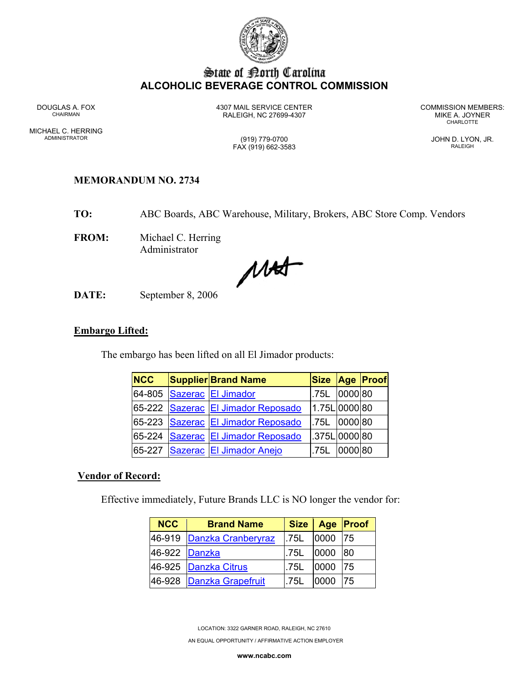

# State of Borth Carolina **ALCOHOLIC BEVERAGE CONTROL COMMISSION**

MICHAEL C. HERRING ADMINISTRATOR (919) 779-0700 JOHN D. LYON, JR.

DOUGLAS A. FOX 4307 MAIL SERVICE CENTER COMMISSION MEMBERS: CHAIRMAN RALEIGH, NC 27699-4307 MIKE A. JOYNER

**CHARLOTTE** 

FAX (919) 662-3583 RALEIGH

# **MEMORANDUM NO. 2734**

**TO:** ABC Boards, ABC Warehouse, Military, Brokers, ABC Store Comp. Vendors

**FROM:** Michael C. Herring Administrator

MAS

**DATE:** September 8, 2006

## **Embargo Lifted:**

The embargo has been lifted on all El Jimador products:

| <b>NCC</b> | <b>Supplier Brand Name</b>         | <b>Size</b>   |         | <b>Age Proof</b> |
|------------|------------------------------------|---------------|---------|------------------|
|            |                                    | .75L          | 0000 80 |                  |
|            | 65-222 Sazerac El Jimador Reposado | 1.75L 0000 80 |         |                  |
|            | 65-223 Sazerac El Jimador Reposado | .75L 0000 80  |         |                  |
| 65-224     | Sazerac El Jimador Reposado        | .375L 0000 80 |         |                  |
|            | 65-227 Sazerac El Jimador Anejo    | .75L          | 0000 80 |                  |

# **Vendor of Record:**

Effective immediately, Future Brands LLC is NO longer the vendor for:

| <b>NCC</b>    | <b>Brand Name</b>         |      | Size   Age   Proof |     |
|---------------|---------------------------|------|--------------------|-----|
|               | 46-919 Danzka Cranberyraz | .75L | 0000               | 175 |
| 46-922 Danzka |                           | .75L | 0000               | 180 |
|               | 46-925 Danzka Citrus      | .75L | 0000               | 75  |
|               | 46-928 Danzka Grapefruit  | .75L | 0000               | 75  |

LOCATION: 3322 GARNER ROAD, RALEIGH, NC 27610

AN EQUAL OPPORTUNITY / AFFIRMATIVE ACTION EMPLOYER

**www.ncabc.com**